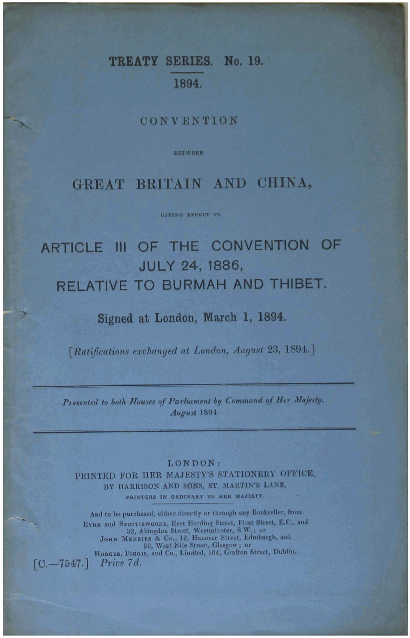# TREATY SERIES. No. 19. 1894.

## CONVENTION

**BETWEEN** 

# GREAT BRITAIN AND CHINA.

#### GIVING EFFECT TO

# ARTICLE III OF THE CONVENTION OF **JULY 24, 1886,** RELATIVE TO BURMAH AND THIBET.

## Signed at London, March 1, 1894.

[Ratifications exchanged at London, August 23, 1894.]

Presented to both Houses of Parliament by Command of Her Majesty. August 1894.

### LONDON:

PRINTED FOR HER MAJESTY'S STATIONERY OFFICE, BY HARRISON AND SONS, ST. MARTIN'S LANE, PRINTERS IN ORDINARY TO HER MAJESTY

And to be purchased, either directly or through any Bookseller, from EYRE and SPOTTISWOODE, Eest Harding Street, Fleet Street, E.C., and<br>32, Abingdon Street, Westminster, S.W.; or<br>JOHN MENZIES & Co., 12, Hanover Street, Edinburgh, and<br>90, West Nile Street, Glasgow; or<br>Hooges, Figgars, and C  $[C. - 7547.]$ Price 7d.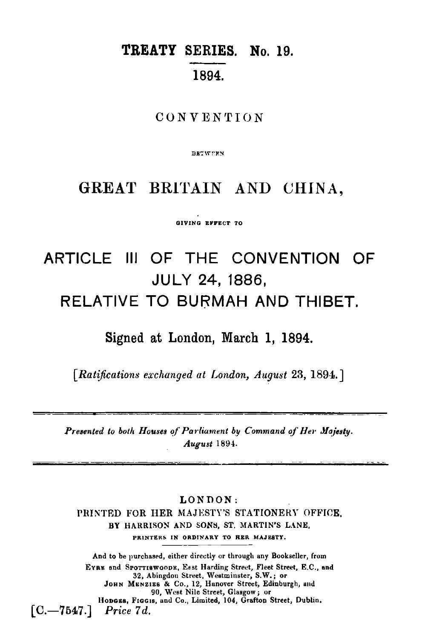# TREATY SERIES. No. 19. 1894.

## **CONVENTION**

**BETWEEN** 

## GREAT BRITAIN AND CHINA.

GIVING EFFECT TO

# ARTICLE III OF THE CONVENTION OF **JULY 24, 1886.** RELATIVE TO BURMAH AND THIBET.

Signed at London, March 1, 1894.

[Ratifications exchanged at London, August 23, 1894.]

Presented to both Houses of Parliament by Command of Her Majesty. August 1894.

LONDON: PRINTED FOR HER MAJESTY'S STATIONERY OFFICE. BY HARRISON AND SONS, ST. MARTIN'S LANE. PRINTERS IN ORDINARY TO RER MAJESTY.

And to be purchased, either directly or through any Bookseller, from EYRE and SPOTTISWOODE, East Harding Street, Fleet Street, E.C., and 32, Abingdon Street, Westminster, S.W.; or<br>JOHN MENZIES & Co., 12, Hanover Street, Edinburgh, and 90, West Nile Street, Glasgow; or HODGES, FIGGIS, and Co., Limited, 104, Grafton Street, Dublin.  $[C. - 7547.]$ Price 7d.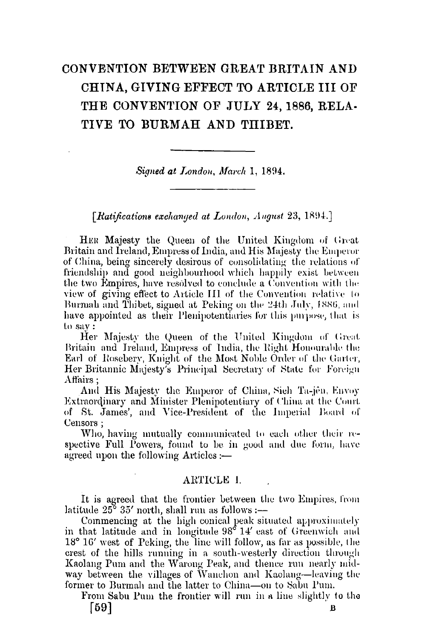# CONVENTION BETWEEN GREAT BRITAIN AND CHINA, GIVING EFFECT TO ARTICLE III OF THE CONVENTION OF JULY 24, 1886, RELA-TIVE TO BURMAH AND THIBET.

Signed at London, March 1, 1894.

[Ratifications exchanged at London, August 23, 1894.]

HER Majesty the Queen of the United Kingdom of Great Britain and Ireland, Empress of India, and His Majesty the Emperor of China, being sincerely desirous of consolidating the relations of friendship and good neighbourhood which happily exist between the two Empires, have resolved to conclude a Convention with the view of giving effect to Article III of the Convention relative to Burmah and Thibet, signed at Peking on the 24th July, 1886, and have appointed as their Plenipotentiaries for this purpose, that is to sav:

Her Majesty the Queen of the United Kingdom of Great Britain and Ireland, Empress of India, the Right Honourable the Earl of Roseberv, Knight of the Most Noble Order of the Garter, Her Britannic Majesty's Principal Secretary of State for Foreign Affairs:

And His Majesty the Emperor of China, Sieh Ta-jên, Envoy Extraordinary and Minister Plenipotentiary of China at the Court of St. James', and Vice-President of the Imperial Board of Censors:

Who, having mutually communicated to each other their respective Full Powers, found to be in good and due form, have agreed upon the following Articles :-

#### ARTICLE I.

It is agreed that the frontier between the two Empires, from latitude  $25^{\circ}$   $35'$  north, shall run as follows :-

Commencing at the high conical peak situated approximately<br>in that latitude and in longitude  $98^{\circ}$  14' east of Greenwich and 18° 16' west of Peking, the line will follow, as far as possible, the crest of the hills running in a south-westerly direction through Kaolang Pum and the Warong Peak, and thence run nearly midway between the villages of Wanchon and Kaolang-leaving the former to Burmah and the latter to China—on to Sabu Pum.

From Sabu Pum the frontier will run in a line slightly to the [59]  $\bf{B}$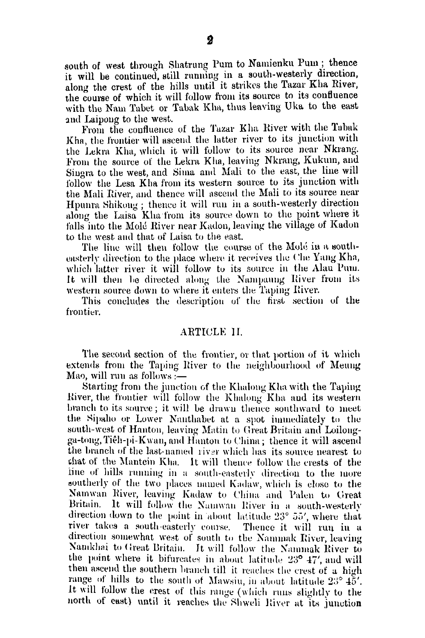south of west through Shatrung Pum to Namienku Pum; thence it will be continued, still running in a south-westerly direction, along the crest of the hills until it strikes the Tazar Kha River, the course of which it will follow from its source to its confluence with the Nam Tabet or Tabak Kha, thus leaving Uka to the east and Laipong to the west.

From the confluence of the Tazar Kha River with the Tabak Kha, the frontier will ascend the latter river to its junction with the Lekra Kha, which it will follow to its source near Nkrang. From the source of the Lekra Kha, leaving Nkrang, Kukum, and Singra to the west, and Sima and Mali to the east, the line will follow the Lesa Kha from its western source to its junction with the Mali River, and thence will ascend the Mali to its source near Hpunra Shikong; thence it will run in a south-westerly direction along the Laisa Kha from its source down to the point where it falls into the Molé River near Kadon, leaving the village of Kadon to the west and that of Laisa to the east.

The line will then follow the course of the Molé in a southeasterly direction to the place where it receives the Che Yang Kha, which latter river it will follow to its source in the Alau Pun. It will then be directed along the Nampaung River from its western source down to where it enters the Taping River.

This concludes the description of the first section of the frontier.

#### ARTICLE II.

The second section of the frontier, or that portion of it which extends from the Taping River to the neighbourhood of Meung Mao, will run as follows  $=$ 

Starting from the junction of the Khalong Kha with the Taping River, the frontier will follow the Khalong Kha and its western branch to its source; it will be drawn thence southward to meet the Sipaho or Lower Nanthabet at a spot immediately to the south-west of Hanton, leaving Matin to Great Britain and Loilongga-tong, Tiêh-pi-Kwan, and Hanton to China ; thence it will ascend the branch of the last-named river which has its source nearest to chat of the Mantein Kha. It will thence follow the crests of the line of hills running in a south-easterly direction to the more southerly of the two places named Kadaw, which is close to the Namwan River, leaving Kadaw to China and Palen to Great Britain. It will follow the Namwan River in a south-westerly direction down to the point in about latitude  $23^{\circ}$  55', where that river takes a south easterly course. Thence it will run in a direction somewhat west of south to the Nammak River, leaving Namkhai to Great Britain. It will follow the Nammak River to the point where it bifurcates in about latitude 23° 47', and will then ascend the southern branch till it reaches the crest of a high range of hills to the south of Mawsiu, in about latitude 23° 45'. It will follow the crest of this range (which runs slightly to the north of east) until it reaches the Shweli River at its junction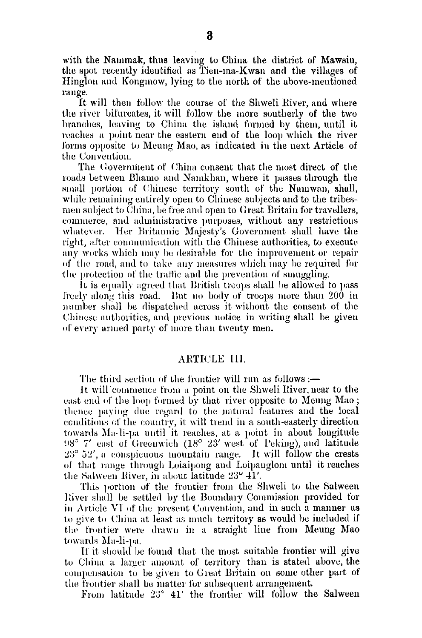with the Nammak, thus leaving to China the district of Mawsiu, the spot recently identified as Tien-ma-Kwan and the villages of Hinglon and Kongmow, lying to the north of the above-mentioned range.

It will then follow the course of the Shweli River, and where the river bifurcates, it will follow the more southerly of the two branches, leaving to China the island formed by them, until it reaches a point near the eastern end of the loop which the river forms opposite to Meung Mao, as indicated in the next Article of the Convention.

The Government of China consent that the most direct of the roads between Bhamo and Namkhan, where it passes through the small portion of Chinese territory south of the Namwan, shall, while remaining entirely open to Chinese subjects and to the tribesmen subject to China, be free and open to Great Britain for travellers. commerce, and administrative purposes, without any restrictions Her Britannic Majesty's Government shall have the whatever. right, after communication with the Chinese authorities, to execute any works which may be desirable for the improvement or repair of the road, and to take any measures which may be required for the protection of the traffic and the prevention of smuggling.

It is equally agreed that British troops shall be allowed to pass freely along this road. But no body of troops more than 200 in number shall be dispatched across it without the consent of the Chinese authorities, and previous notice in writing shall be given of every armed party of more than twenty men.

#### ARTICLE III.

The third section of the frontier will run as follows :—

It will commence from a point on the Shweli River, near to the east end of the loop formed by that river opposite to Meung Mao; thence paying due regard to the natural features and the local conditions of the country, it will trend in a south-easterly direction towards Ma-li-pa until it reaches, at a point in about longitude  $98^{\circ}$  7' east of Greenwich (18 $^{\circ}$  23' west of Peking), and latitude  $23^{\circ}$  52', a conspicuous mountain range. It will follow the crests of that range through Loiaipong and Loipanglom until it reaches the Salween River, in about latitude 23° 41'.

This portion of the frontier from the Shweli to the Salween River shall be settled by the Boundary Commission provided for in Article VI of the present Convention, and in such a manner as to give to China at least as much territory as would be included if the frontier were drawn in a straight line from Meung Mao towards Ma-li-pa.

If it should be found that the most suitable frontier will give to China a larger amount of territory than is stated above, the compensation to be given to Great Britain on some other part of the frontier shall be matter for subsequent arrangement.

From latitude 23° 41' the frontier will follow the Salween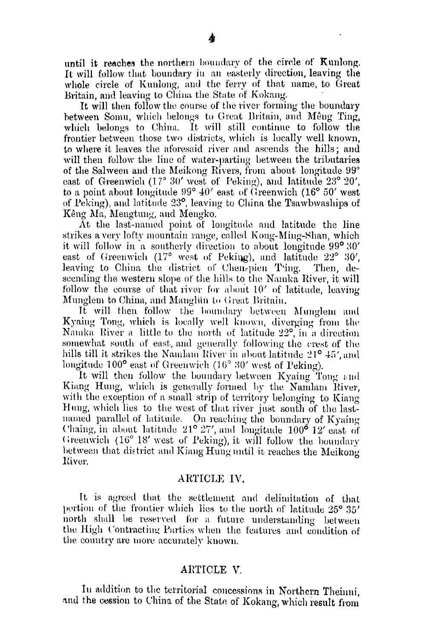until it reaches the northern boundary of the circle of Kunlong. It will follow that boundary in an easterly direction, leaving the whole circle of Kunlong, and the ferry of that name, to Great Britain, and leaving to China the State of Kokang.

It will then follow the course of the river forming the boundary between Somu, which belongs to Great Britain, and Mêng Ting. which belongs to China. It will still continue to follow the frontier between those two districts, which is locally well known. to where it leaves the aforesaid river and ascends the hills; and will then follow the line of water-parting between the tributaries of the Salween and the Meikong Rivers, from about longitude 99° east of Greenwich (17° 30' west of Peking), and latitude 23° 20'. to a point about longitude  $99^{\circ}$  40' east of Greenwich (16 $^{\circ}$  50' west of Peking), and latitude 23<sup>°</sup>, leaving to China the Tsawbwaships of Kêng Ma, Mengtung, and Mengko.

At the last-named point of longitude and latitude the line strikes a very lofty mountain range, called Kong-Ming-Shan, which it will follow in a southerly direction to about longitude 99°30' east of Greenwich (17° west of Peking), and latitude 22° 30'. leaving to China the district of Chen-pien Ting. Then, descending the western slope of the hills to the Namka River, it will follow the course of that river for about 10' of latitude, leaving Munglem to China, and Mangliin to Great Britain.

It will then follow the boundary between Munglem and Kyaing Tong, which is locally well known, diverging from the Namka River a little to the north of latitude 22°, in a direction somewhat south of east, and generally following the crest of the hills till it strikes the Namlam River in about latitude 21° 45' and longitude 100° east of Greenwich (16° 30' west of Peking).

It will then follow the boundary between Kyaing Tong and Kiang Hung, which is generally formed by the Namlam River, with the exception of a small strip of territory belonging to Kiang Hung, which lies to the west of that river just south of the lastnamed parallel of latitude. On reaching the boundary of Kyaing Chaing, in about latitude  $21^{\circ} 27'$ , and longitude  $100^{\circ} 12'$  east of Greenwich (16° 18' west of Peking), it will follow the boundary between that district and Kiang Hung until it reaches the Meikong River.

#### ARTICLE IV.

It is agreed that the settlement and delimitation of that pertion of the frontier which lies to the north of latitude 25° 35' north shall be reserved for a future understanding between the High Contracting Parties when the features and condition of the country are more accurately known.

#### ARTICLE V.

In addition to the territorial concessions in Northern Theinni, and the cession to China of the State of Kokang, which result from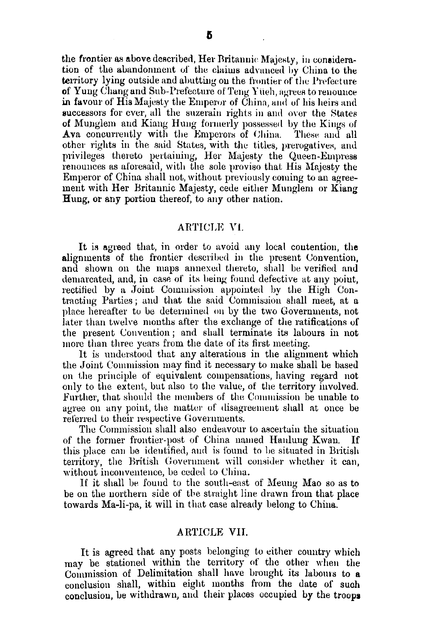the frontier as above described. Her Britannic Majesty, in consideration of the abandonment of the claims advanced by China to the territory lying outside and abutting on the frontier of the Prefecture of Yung Chang and Sub-Prefecture of Teng Yueh, agrees to renounce in favour of His Majesty the Emperor of China, and of his heirs and successors for ever, all the suzerain rights in and over the States of Munglem and Kiang Hung formerly possessed by the Kings of Ava concurrently with the Emperors of China. These and all other rights in the said States with the titles, prerogatives, and privileges thereto pertaining, Her Majesty the Queen-Empress renounces as aforesaid, with the sole proviso that His Majesty the Emperor of China shall not, without previously coming to an agreement with Her Britannic Majesty, cede either Munglem or Kiang Hung, or any portion thereof, to any other nation.

### ARTICLE VI.

It is agreed that, in order to avoid any local contention, the alignments of the frontier described in the present Convention. and shown on the maps annexed thereto, shall be verified and demarcated, and, in case of its being found defective at any point. rectified by a Joint Commission appointed by the High Contracting Parties; and that the said Commission shall meet, at a place hereafter to be determined on by the two Governments, not later than twelve months after the exchange of the ratifications of the present Convention; and shall terminate its labours in not more than three years from the date of its first meeting.

It is understood that any alterations in the alignment which the Joint Commission may find it necessary to make shall be based on the principle of equivalent compensations, having regard not only to the extent, but also to the value, of the territory involved. Further, that should the members of the Commission be unable to agree on any point, the matter of disagreement shall at once be referred to their respective Governments.

The Commission shall also endeavour to ascertain the situation of the former frontier-post of China named Hanlung Kwan. Τf this place can be identified, and is found to be situated in British territory, the British Government will consider whether it can, without inconventence, be ceded to China.

If it shall be found to the south-east of Meung Mao so as to be on the northern side of the straight line drawn from that place towards Ma-li-pa, it will in that case already belong to China.

#### ARTICLE VII.

It is agreed that any posts belonging to either country which may be stationed within the territory of the other when the Commission of Delimitation shall have brought its labours to a conclusion shall, within eight months from the date of such conclusion, be withdrawn, and their places occupied by the troops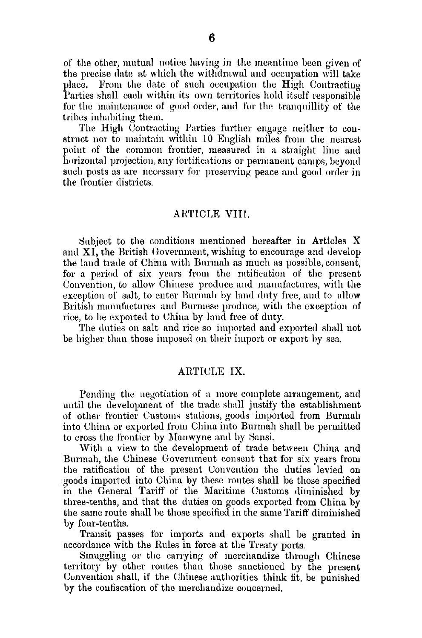of the other, mutual notice having in the meantime been given of the precise date at which the withdrawal and occupation will take place. From the date of such occupation the High Contracting Parties shall each within its own territories hold itself responsible for the maintenance of good order, and for the tranquillity of the tribes inhabiting them.

The High Contracting Parties further engage neither to construct nor to maintain within 10 English miles from the nearest point of the common frontier, measured in a straight line and horizontal projection, any fortifications or permanent camps, beyond such posts as are necessary for preserving peace and good order in the frontier districts.

#### ARTICLE VIII.

Subject to the conditions mentioned hereafter in Articles X and XI, the British Government, wishing to encourage and develop the land trade of China with Burmah as much as possible, consent. for a period of six years from the ratification of the present Convention, to allow Chinese produce and manufactures, with the exception of salt, to enter Burmah by land duty free, and to allow British manufactures and Burmese produce, with the exception of rice, to be exported to China by land free of duty.

The duties on salt and rice so imported and exported shall not be higher than those imposed on their import or export by sea.

#### ARTICLE IX.

Pending the negotiation of a more complete arrangement, and until the development of the trade shall justify the establishment of other frontier Customs stations, goods imported from Burnah into China or exported from China into Burmah shall be permitted to cross the frontier by Manwyne and by Sansi.

With a view to the development of trade between China and Burmah, the Chinese Government consent that for six years from the ratification of the present Convention the duties levied on goods imported into China by these routes shall be those specified in the General Tariff of the Maritime Customs diminished by three-tenths, and that the duties on goods exported from China by the same route shall be those specified in the same Tariff diminished by four-tenths.

Transit passes for imports and exports shall be granted in accordance with the Rules in force at the Treaty ports.

Smuggling or the carrying of merchandize through Chinese territory by other routes than those sanctioned by the present Convention shall, if the Chinese authorities think fit, be punished by the confiscation of the merchandize concerned.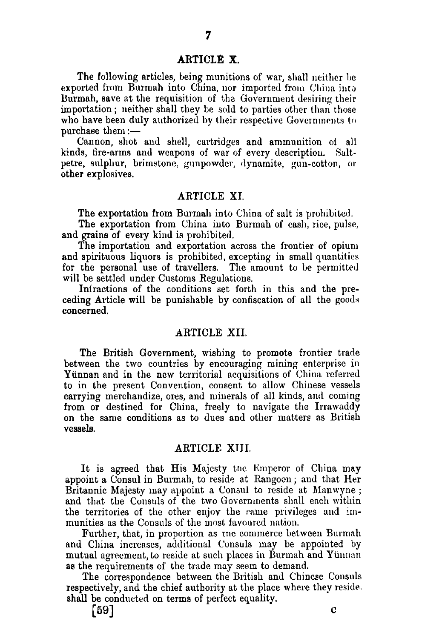#### ARTICLE X.

The following articles, being munitions of war, shall neither be exported from Burmah into China, nor imported from China into Burmah, save at the requisition of the Government desiring their importation ; neither shall they be sold to parties other than those who have been duly authorized by their respective Governments to purchase them  $:$ 

Cannon, shot and shell, cartridges and ammunition of all kinds, fire-arms and weapons of war of every description. Saltpetre, sulpliur, brimstone, gunpowder, dynamite, gun-cotton, or other explosives.

### ARTICLE XI.

The exportation from Burmah into China of salt is prohibited.

The exportation from China into Burmah of cash, rice, pulse, and grains of every kind is prohibited.

The importation and exportation across the frontier of opium and spirituous liquors is prohibited, excepting in small quantities for the personal use of travellers. The amount to be permitted will be settled under Customs Regulations.

Infractions of the conditions set forth in this and the preceding Article will be punishable by confiscation of all the goods concerned.

### ARTICLE XII.

The British Government, wishing to promote frontier trade between the two countries by encouraging mining enterprise in Yünnan and in the new territorial acquisitions of China referred to in the present Convention, consent to allow Chinese vessels carrying merchandize, ores, and minerals of all kinds, and coming from or destined for China, freely to navigate the Irrawaddy on the same conditions as to dues and other matters as British vessels.

#### ARTICLE XTII.

It is agreed that His Majesty the Emperor of China may appoint a Consul in Burmah, to reside at Rangoon ; and that Her Britannic Majesty may appoint a Consul to reside at Manwyne; and that the Consuls of the two Governments shall each within the territories of the other enjoy the same privileges and immunities as the Consuls of the most favoured nation.

Further, that, in proportion as the commerce between Burmah and China increases, adclitional Consuls may be appointed by mutual agreement, to reside at such places in Burmah and Yünnan as the requirements of the trade may seem to demand.

The correspondence between the British and Chinese Consuls respectively, and the chief authority at the place where they reside, shall be conducted on terms of perfect equality.

1691 **C**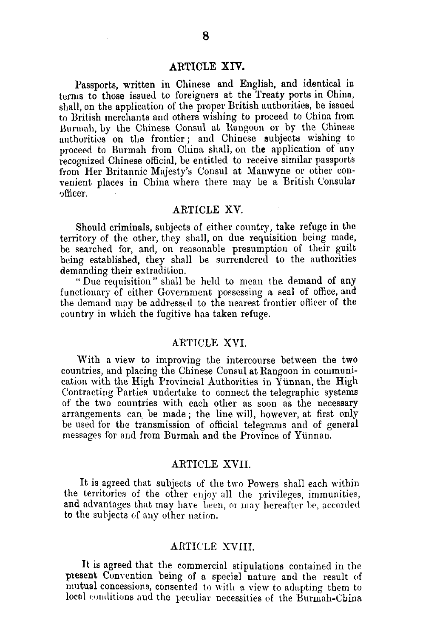#### **ARTICLE XTV.**

Passports, written in Chinese and English, and identical in terns to those issued to foreigners at the Treaty ports in China. shall, on the application of the proper British authorities, be issued to British merchants and others wishing to proceed to China from Burmah, by the Chinese Consul at Rangoon or by the Chinese anthoritics on the frontier; and Chinese subjects wishing to proceed to Burmah from China shall, on the application of any recognized Chinese official, be entitled to receive similar passports from Her Britannic Majesty's Consul at Manwyne or other convenienl places in China where there may be **a** British Consular d%cer.

#### ARTICLE XV.

Should criminals, snbjects of either country, take refuge in the territory of the other, they shall, on due requisition being made, be searched for, and, on reasonable presumption of their guilt being established, they shall be surrendered to the authorities demanding their extradition.

"Due requisition" shall be held to mean the demand of any functionary of either Government possessing a seal of office, and the demand may be addressed to the nearest frontier officer of the country in which the fugitive has taken refuge.

#### ARTTCLE XVI.

With a view to improving the intercourse between the two countries, and placing the Chinese Consul at Rangoon in communication with the High Provincial Authorities in Yunnan, the High Contracting Parties undertake to connect the telegraphic systems of the two countries with each other as soon as the necessary arrangements can be made; the line will, however, at first only be used for the transmission of official telegrams and of general messages for and from Burmah and the Province of Yünnau.

#### ARTICLE XVII.

It is agreed that subjects of the two Powers shall each within the territories of the other enjoy all the privileges, immunities, and advantages that may have been, or may hereafter be, accorded to the subjects of any other nation.

#### ARTICLE XVIII.

It is agreed that the commercial stipulations contained in the plesent Convention being of a special nature and the result of mutual concessions, consented to with a view to adapting them to local conditions and the peculiar necessities of the Burmah-Cbina